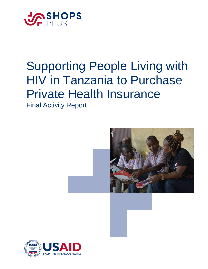

# Supporting People Living with HIV in Tanzania to Purchase Private Health Insurance

Final Activity Report



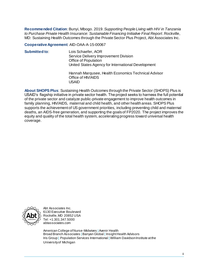**Recommended Citation**: Bunyi, Mbogo. 2019. *Supporting People Living with HIV in Tanzania to Purchase Private Health Insurance: Sustainable Financing Initiative Final Report*. Rockville, MD: Sustaining Health Outcomes through the Private Sector Plus Project, Abt Associates Inc.

**Cooperative Agreement**: AID-OAA-A-15-00067

| Submitted to: | Lois Schaefer, AOR<br>Service Delivery Improvement Division<br><b>Office of Population</b><br>United States Agency for International Development<br>Hannah Marqusee, Health Economics Technical Advisor<br>Office of HIV/AIDS<br>USAID |
|---------------|----------------------------------------------------------------------------------------------------------------------------------------------------------------------------------------------------------------------------------------|
|               |                                                                                                                                                                                                                                        |

**About SHOPS Plus**: Sustaining Health Outcomes through the Private Sector (SHOPS) Plus is USAID's flagship initiative in private sector health. The project seeks to harness the full potential of the private sector and catalyze public-private engagement to improve health outcomes in family planning, HIV/AIDS, maternal and child health, and other health areas. SHOPS Plus supports the achievement of US government priorities, including preventing child and maternal deaths, an AIDS-free generation, and supporting the goals of FP2020. The project improves the equity and quality of the total health system, accelerating progress toward universal health coverage.



Abt Associates Inc. 6130 Executive Boulevard Rockville, MD 20852 USA Tel: +1.301.347.5000 abtassociates.com

American College of Nurse-Midwives |Avenir Health Broad Branch Associates | Banyan Global | Insight Health Advisors Iris Group | Population Services International | William Davidson Institute at the University of Michigan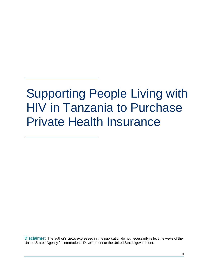# Supporting People Living with HIV in Tanzania to Purchase Private Health Insurance

**Disclaimer:** The author's views expressed in this publication do not necessarily reflect the views of the United States Agency for International Development or the United States government.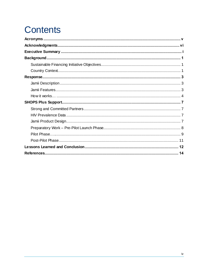## **Contents**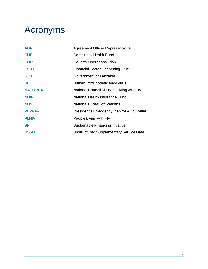## <span id="page-4-0"></span>Acronyms

| <b>AOR</b>     | <b>Agreement Officer Representative</b>    |
|----------------|--------------------------------------------|
| <b>CHF</b>     | <b>Community Health Fund</b>               |
| <b>COP</b>     | <b>Country Operational Plan</b>            |
| <b>FSDT</b>    | <b>Financial Sector Deepening Trust</b>    |
| <b>GOT</b>     | Government of Tanzania                     |
| <b>HIV</b>     | Human Immunodeficiency Virus               |
| <b>NACOPHA</b> | National Council of People living with HIV |
| <b>NHIF</b>    | National Health Insurance Fund             |
| <b>NBS</b>     | <b>National Bureau of Statistics</b>       |
| <b>PEPFAR</b>  | President's Emergency Plan for AIDS Relief |
| <b>PLHIV</b>   | People Living with HIV                     |
| <b>SFI</b>     | Sustainable Financing Initiative           |
| <b>USSD</b>    | Unstructured Supplementary Service Data    |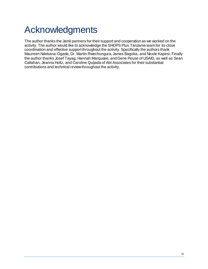## <span id="page-5-0"></span>Acknowledgments

The author thanks the Jamii partners for their support and cooperation as we worked on the activity. The author would like to acknowledge the SHOPS Plus Tanzania team for its close coordination and effective support throughout the activity. Specifically the authors thank Maureen Ndekana-Ogada, Dr. Martin Rwechungura, James Bagoka, and Nicole Kapesi. Finally the author thanks Josef Tayag, Hannah Marqusee, and Gene Peuse of USAID, as well as Sean Callahan, Jeanna Holtz, and Caroline Quijada of Abt Associates for their substantial contributions and technical review throughout the activity.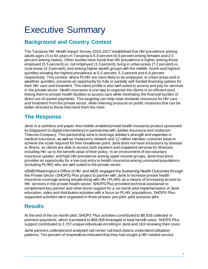## <span id="page-6-0"></span>Executive Summary

## **Background and Country Context**

The Tanzania HIV Health Impact Survey 2016-2017 established that HIV prevalence among adults ages 15 to 64 years in Tanzania is 5.0 percent (6.5 percent among females and 3.5 percent among males). Other studies have found that HIV prevalence is higher among those employed (5.5 percent) vs. not employed (3.3 percent), living in urban areas (7.2 percent) vs. rural areas (4.3 percent), and among higher wealth groups with the middle, fourth and highest quintiles showing the highest prevalence at 5.0 percent, 5.3 percent and 6.6 percent respectively. This context, where PLHIV are more likely to be employed, in urban areas and in wealthier quintiles, presents an opportunity for fully or partially self-funded financing options for their HIV care and treatment. This client profile is also well suited to access and pay for services in the private sector. Health insurance is one way to organize the clients in an efficient pool, linking them to private health facilities to access care while minimizing the financial burden of direct out-of-pocket payments. This targeting can help raise domestic resources for HIV care and treatment from the private sector, while relieving pressure on public resources that can be better directed to those that need them the most.

### **The Response**

Jamii is a cashless and paper-less mobile-enabled private health insurance product sponsored by Edgepoint (a digital intermediary) in partnership with Jubilee Insurance and Vodacom Telecom Company. This partnership aims to leverage Jubilee's strength and expertise in medical insurance, as well as Vodacom's network and 12 million member customer base to achieve the scale required for their breakeven point. Jamii does not have exclusions by disease or illness, so clients are able to access both inpatient and outpatient services for illnesses including HIV up to the benefit value of their policy. In an environment of low voluntary insurance uptake, and high HIV prevalence among upper income groups, Jamii insurance provides an opportunity for a low cost entry to health insurance among uninsured populations (including PLHIV) who are well suited to the private sector.

USAID/Washington's Office of HIV and AIDS engaged the Sustaining Health Outcomes through the Private Sector (SHOPS) Plus project to partner with Jamii to increase private health insurance coverage among people living with HIV (PLHIV) as a means of increasing access to HIV services in the private health sector. SHOPS Plus provided technical assistance to complement key partner and other donor support for a six month pilot implementation of Jamii education, sales and distribution activities with a focus on PLHIV populations. SHOPS Plussupported activities were organized in three phases: pre-pilot, pilot and post-pilot.

## **Results**

At the end of the six month pilot, SHOPS Plus activities contributed to \$8,928 collected in premium payments, which translated to \$68,008 leveraged in total benefit value. SHOPS Plus support contributed to 2,707 unique individuals enrolling in Jamii and 163 renewing their cover.

Jamii partners collected and analyzed call center call back data to understand utilization patterns. Ten percent of respondents indicated that they had sought a HIV-related service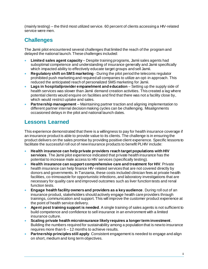(mainly testing) – the third most utilized service. 60 percent of clients accessing a HIV-related service were men.

## **Challenges**

The Jamii pilot encountered several challenges that limited the reach of the program and delayed the national launch. These challenges included:

- **Limited sales agent capacity** Despite training programs, Jamii sales agents had suboptimal competence and understanding of insurance generally and Jamii specifically which impacted ability to effectively educate target groups and sell Jamii.
- **Regulatory shift on SMS marketing** During the pilot period the telecoms regulator prohibited push marketing and required all companies to utilize an opt-in approach. This reduced the anticipated reach of personalized SMS marketing for Jamii.
- **Lags in hospital/provider empanelment and education** Setting up the supply side of health services was slower than Jamii demand creation activities. This created a lag where potential clients would enquire on facilities and find that there was not a facility close by, which would restrict uptake and sales.
- **Partnership management** Maintaining partner traction and aligning implementation to different partner internal decision making cycles can be challenging. Misalignments occasioned delays in the pilot and national launch dates.

## **Lessons Learned**

This experience demonstrated that there is a willingness to pay for health insurance coverage if an insurance product is able to provide value to its clients. The challenge is in ensuring the product delivers on the sales promise by providing positive client experience. Specific lessons to facilitate the successful roll out of new insurance products to benefit PLHIV include:

- **Health insurance can help private providers reach target populations with HIV services**. The Jamii pilot experience indicated that private health insurance has the potential to increase male access to HIV services (specifically testing).
- **Health insurance can support comprehensive care and treatment for HIV**. Private health insurance can help finance HIV-related services that are not covered directly by donors and governments. In Tanzania, these costs included clinician fees at private health facilities, co-trimoxazole for opportunistic infections, and laboratory investigations that are necessary for quality care and improved outcomes such as liver function tests and renal function tests.
- **Engage health facility owners and providers as a key audience**. During roll out of an insurance product, stakeholders should actively engage health care providers through trainings, communication and support. This will improve the customer product experience at the point of health service delivery.
- **Agent post training support is needed**. A single training of sales agents is not sufficient to build competence and confidence to sell insurance in an environment with a limited insurance culture.
- **Scaling private health microinsurance likely requires a longer term investment**. Building the numbers required for sustainability among a population that is new to insurance requires more than 6 – 12 months to achieve results.
- **Partnership principles still apply**. Consistent engagement is needed to engage and align on short, medium and long term objectives.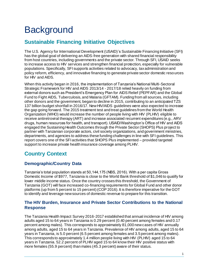## <span id="page-8-0"></span>**Background**

## <span id="page-8-1"></span>**Sustainable Financing Initiative Objectives**

The U.S. Agency for International Development (USAID)'s Sustainable Financing Initiative (SFI) has the global goal of delivering an AIDS-free generation with shared financial responsibility from host countries, including governments and the private sector. Through SFI, USAID seeks to increase access to HIV services and strengthen financial protection, especially for vulnerable populations. Specifically, SFI supports activities related to advocacy, tax administration and policy reform, efficiency, and innovative financing to generate private sector domestic resources for HIV and AIDS.

When this activity began in 2016, the implementation of Tanzania's National Multi-Sectoral Strategic Framework for HIV and AIDS 2013/14 - 2017/18 relied heavily on funding from external donors such as President's Emergency Plan for AIDS Relief (PEPFAR) and the Global Fund to Fight AIDS, Tuberculosis, and Malaria (GFTAM). Funding from all sources, including other donors and the government, began to decline in 2015, contributing to an anticipated TZS 137 billion budget shortfall in 2016/17. New HIV/AIDS guidelines were also expected to increase the gap going forward. The 2015 treatment test and treat guidelines from the World Health Organization (WHO) would increase the number of people living with HIV (PLHIV) eligible to receive antiretroviral therapy (ART) and increase associated recurrent expenditures (e.g., ARV drugs, human resources for health, and transport). USAID/Washington's Office of HIV and AIDS engaged the Sustaining Health Outcomes through the Private Sector (SHOPS) Plus project to partner with Tanzanian corporate actors, civil society organizations, and government ministries, departments, and agencies to address these funding challenges in line with SFI guidelines. This report covers one of the SFI activities that SHOPS Plus implemented – provided targeted support to increase private health insurance coverage among PLHIV.

## <span id="page-8-2"></span>**Country Context**

#### **Demographic/Country Data**

Tanzania's total population stands at 50,144,175 (NBS, 2016). With a per capita Gross Domestic Income of \$977, Tanzania is close to the World Bank threshold of \$1,046 to qualify for lower middle income status. Once the country crosses this threshold, the Government of Tanzania (GOT) will face increased co-financing requirements for Global Fund and other donor platforms (up from 5 percent to 15 percent) (COP 2016). It is therefore imperative for the GOT to identify and leverage new sources of domestic revenue to prepare for this transition.

#### **The HIV Burden, Insurance and Private Sector Contributions to the National Response**

The Tanzania Health Impact Survey 2016-2017 established that annual incidence of HIV among adults aged 15 to 64 years in Tanzania is 0.29 percent (0.40 percent among females and 0.17 percent among males). This corresponds to approximately 81,000 new cases of HIV annually among adults, aged 15 to 64 years in Tanzania. Prevalence of HIV among adults, aged 15 to 64 years in Tanzania, is 5.0 percent (6.5 percent among females and 3.5 percent among males). This corresponds to approximately 1.4 million people living with HIV (PLHIV) aged 15 to 64 years in Tanzania. 52.2 percent of PLHIV aged 15 to 64 know their HIV positive status with more females (55.9 percent) than males (45.3 percent) aware of their status.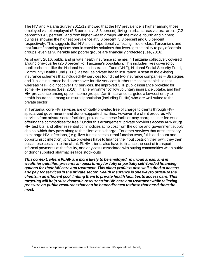The HIV and Malaria Survey 2011/12 showed that the HIV prevalence is higher among those employed vs not employed (5.5 percent vs 3.3 percent), living in urban areas vs rural areas (7.2 percent vs 4.3 percent), and from higher wealth groups with the middle, fourth and highest quintiles showing the highest prevalence at 5.0 percent, 5.3 percent and 6.6 percent respectively. This suggests that HIV is disproportionally affecting middle-class Tanzanians and that future financing options should consider solutions that leverage the ability to pay of certain groups, even as vulnerable and poorer groups are financially protected (Lee, 2016).

As of early 2016, public and private health insurance schemes in Tanzania collectively covered around one-quarter (25.8 percent) of Tanzania's population. This includes lives covered by public schemes like the National Health Insurance Fund (NHIF), National Social Security Fund, Community Health Fund (CHF), as well as private health insurance. A scan of the existing insurance schemes that included HIV services found that two insurance companies – Strategies and Jubilee insurance had some cover for HIV services; further the scan established that whereas NHIF did not cover HIV services, the improved CHF public insurance provided for some HIV services (Lee, 2016). In an environment of low voluntary insurance uptake, and high HIV prevalence among upper income groups, Jamii insurance targeted a low cost entry to health insurance among uninsured population (including PLHIV) who are well suited to the private sector.

In Tanzania, core HIV services are officially provided free of charge to clients through HIVspecialized government- and donor-supported facilities. However, if a client procures HIV services from private sector facilities, providers at these facilities may charge a user fee while offering the commodities for free.<sup>1</sup> Under this arrangement, private providers access ARV drugs, HIV test kits, and other essential commodities at no cost from the donor and government supply chains, which they pass along to the client at no charge. For other services that are necessary to manage HIV infections, ( e.g. liver function tests, renal function tests, full blood count and opportunistic infection), private providers have to finance the input costs on their own; they then pass these costs on to the client. PLHIV clients also have to finance the cost of transport, informal payments at the facility, and any costs associated with buying commodities when public or donor supplied pharmacies face stock-outs.

*This context, where PLHIV are more likely to be employed, in urban areas, and in wealthier quintiles, presents an opportunity for fully or partially self-funded financing options for their HIV care and treatment. This client profile is also well suited to access and pay for services in the private sector. Health insurance is one way to organize the clients in an efficient pool, linking them to private health facilities to access care. This targeting will help raise domestic resources for HIV care and treatment while relieving pressure on public resources that can be better directed to those that need them the most.*

 $\overline{a}$ 

 $1$  In cases w here private providers are not classified as an HIV-specialized facility.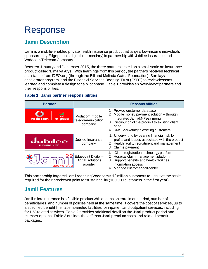## <span id="page-10-0"></span>Response

## <span id="page-10-1"></span>**Jamii Description**

Jamii is a mobile-enabled private health insurance product that targets low-income individuals sponsored by Edgepoint (a digital intermediary) in partnership with Jubilee Insurance and Vodacom Telecom Company.

Between January and December 2015, the three partners tested on a small scale an insurance product called 'Bima ya Afya'. With learnings from this period, the partners received technical assistance from IDEO.org (through the Bill and Melinda Gates Foundation), Barclays accelerator program, and the Financial Services Deeping Trust (FSDT) to review lessons learned and complete a design for a pilot phase. Table 1 provides an overview of partners and their responsibilities.

| <b>Partner</b>              |                                                     | <b>Responsibilities</b>                                                                                                                                                                                           |  |  |
|-----------------------------|-----------------------------------------------------|-------------------------------------------------------------------------------------------------------------------------------------------------------------------------------------------------------------------|--|--|
| vodacom<br>m-pesa           | Vodacom mobile<br>telecommunication<br>company      | 1. Provide customer database<br>2. Mobile money payment solution - through<br>integrated Jamii/M-Pesa menu<br>3. Distribution of the product to existing client<br>base<br>4. SMS Marketing to existing customers |  |  |
| dubilee<br><b>INSURANCE</b> | Jubilee Insurance<br>company                        | 1. Underwriting by bearing financial risk for<br>profits and losses associated with the product<br>2. Health facility recruitment and management<br>3. Claims payment                                             |  |  |
| ngao ya atyc                | Edgepoint Digital-<br>Digital solutions<br>provider | Client registration technology platform<br>2. Hospital claim management platform<br>Support benefits and health facilities<br>3.<br>information access<br>4. Manage customer call center                          |  |  |

#### **Table 1: Jamii partner responsibilities**

This partnership targeted Jamii reaching Vodacom's 12 million customers to achieve the scale required for their breakeven point for sustainability (100,000 customers in the first year).

### <span id="page-10-2"></span>**Jamii Features**

Jamii microinsurance is a flexible product with options on enrollment period, number of beneficiaries, and number of policies held at the same time. It covers the cost of services, up to a specified benefit limit, at empaneled facilities for inpatient and outpatient services, including for HIV-related services. Table 2 provides additional detail on the Jamii product period and member options. Table 3 outlines the different Jamii premium costs and related benefit packages.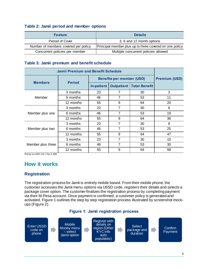#### **Table 2: Jamii period and member options**

| <b>Feature</b>                       | <b>Details</b>                                          |  |  |
|--------------------------------------|---------------------------------------------------------|--|--|
| Period of Cover                      | 3, 6 and 12 month options                               |  |  |
| Number of members covered per policy | Principal member plus up to three covered on one policy |  |  |
| Concurrent policies per member       | Multiple concurrent policies allowed                    |  |  |

#### **Table 3: Jamii premium and benefit schedule**

| <b>Jamii Premium and Benefit Schedule</b> |               |                                  |                      |                                   |    |
|-------------------------------------------|---------------|----------------------------------|----------------------|-----------------------------------|----|
| <b>Members</b>                            | <b>Period</b> | <b>Benefits per member (USD)</b> | <b>Premium (USD)</b> |                                   |    |
|                                           |               | <b>In-patient</b>                |                      | <b>Outpatient   Total Benefit</b> |    |
| Member                                    | 3 months      | 23                               | 7                    | 30                                | 3  |
|                                           | 6 months      | 46                               | 7                    | 53                                | 11 |
|                                           | 12 months     | 55                               | 9                    | 64                                | 20 |
| Member plus one                           | 3 months      | 23                               | 7                    | 30                                | 6  |
|                                           | 6 months      | 46                               | 7                    | 53                                | 19 |
|                                           | 12 months     | 55                               | 9                    | 64                                | 36 |
| Member plus two                           | 3 months      | 23                               | 7                    | 30                                | 8  |
|                                           | 6 months      | 46                               | 7                    | 53                                | 25 |
|                                           | 12 months     | 55                               | 9                    | 64                                | 47 |
| Member plus three                         | 3 months      | 23                               | 7                    | 30                                | 10 |
|                                           | 6 months      | 46                               | $\overline{7}$       | 53                                | 30 |
|                                           | 12 months     | 55                               | 9                    | 64                                | 58 |

Prices in USD  $1$  \$ = Tzs 2,200

### <span id="page-11-0"></span>**How it works**

#### **Registration**

The registration process for Jamii is entirely mobile based. From their mobile phone, the customer accesses the Jamii menu options via USSD code, registers their details and selects a package cover option. The customer finalizes the registration process by completing payment via their M-Pesa account. Once payment is confirmed, a customer policy is generated and activated. Figure 1 outlines the step by step registration process illustrated by screenshot mockups (Figure 2).

#### **Figure 1: Jamii registration process**

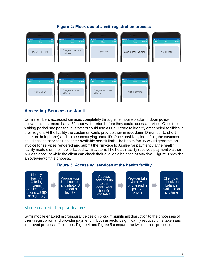

#### **Figure 2: Mock-ups of Jamii registration process**

#### **Accessing Services on Jamii**

Jamii members accessed services completely through the mobile platform. Upon policy activation, customers had a 72 hour wait period before they could access services. Once the waiting period had passed, customers could use a USSD code to identify empaneled facilities in their region. At the facility the customer would provide their unique Jamii ID number (a short code on their phone) and an accompanying photo ID. Once positively identified, the customer could access services up to their available benefit limit. The health facility would generate an invoice for services rendered and submit their invoice to Jubilee for payment via the health facility module on the mobile-based Jamii system. The health facility receives payment via their M-Pesa account while the client can check their available balance at any time. Figure 3 provides an overview of this process.





#### Mobile-enabled disruptive features

Jamii mobile enabled microinsurance design brought significant disruption to the processes of client registration and provider payment. In both aspects it significantly reduced time taken and improved process efficiencies. Figure 4 and Figure 5 compare the two different processes.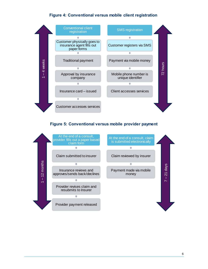#### **Figure 4: Conventional versus mobile client registration**



#### **Figure 5: Conventional versus mobile provider payment**

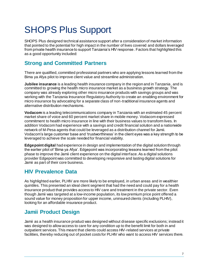## <span id="page-14-0"></span>SHOPS Plus Support

SHOPS Plus designed technical assistance support after a consideration of market information that pointed to the potential for high impact in the number of lives covered and dollars leveraged from private health insurance to support Tanzania's HIV response. Factors that highlighted this as a good opportunity included:

### <span id="page-14-1"></span>**Strong and Committed Partners**

There are qualified, committed professional partners who are applying lessons learned from the Bima ya Afya pilot to improve client value and streamline administration.

**Jubilee insurance** is a leading health insurance company in the region and in Tanzania, and is committed to growing the health micro insurance market as a business growth strategy. The company was already exploring other micro insurance products with savings groups and was working with the Tanzania Insurance Regulatory Authority to create an enabling environment for micro insurance by advocating for a separate class of non-traditional insurance agents and alternative distribution mechanisms.

**Vodacom** is a leading telecommunications company in Tanzania with an estimated 45 percent market share of voice and 60 percent market share in mobile money. Vodacom expressed commitment to health micro insurance in line with their business values to transform lives. In addition Vodacom had experience with a savings and credit financial solution and a nationwide network of M-Pesa agents that could be leveraged as a distribution channel for Jamii. Vodacom's large customer base and 'trustworthiness' in the client eyes was a key strength to be leveraged to achieve the scale needed for financial viability.

**Edgepoint digital** had experience in design and implementation of the digital solution through the earlier pilot of 'Bima ya Afya'. Edgepoint was incorporating lessons learned from the pilot phase to improve the Jamii client experience on the digital interface. As a digital solutions provider Edgepoint was committed to developing responsive and lasting digital solutions for Jamii as part of their core business.

### <span id="page-14-2"></span>**HIV Prevalence Data**

As highlighted earlier, PLHIV are more likely to be employed, in urban areas and in wealthier quintiles. This presented an ideal client segment that had the need and could pay for a health insurance product that provides access to HIV care and treatment in the private sector. Even though Jamii was targeted at a low-income population, its low premium price point offered a sound value for money proposition for upper income, uninsured clients (including PLHIV), looking for an affordable insurance product.

### <span id="page-14-3"></span>**Jamii Product Design**

Jamii as a health insurance product was designed without disease specific exclusions; instead it was designed to allow access to care for any condition up to the benefit limit for both in and outpatient services. This meant that clients could access HIV-related services at private facilities, thereby reducing out of pocket costs for PLHIV who want to access HIV services there.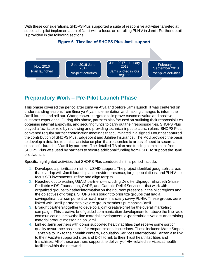With these considerations, SHOPS Plus supported a suite of responsive activities targeted at successful pilot implementation of Jamii with a focus on enrolling PLHIV in Jamii. Further detail is provided in the following sections.

#### **Figure 6: Timeline of SHOPS Plus Jamii support**



### <span id="page-15-0"></span>**Preparatory Work – Pre-Pilot Launch Phase**

This phase covered the period after Bima ya Afya and before Jamii launch. It was centered on understanding lessons from Bima ya Afya implementation and making changes to inform the Jamii launch and roll out. Changes were targeted to improve customer value and positive customer experience. During this phase, partners also focused on outlining their responsibilities, obtaining internal approvals, and securing funds to carry out their responsibilities. SHOPS Plus played a facilitator role by reviewing and providing technical input to launch plans. SHOPS Plus convened regular partner coordination meetings that culminated in a signed MoU that captured the contribution of SHOPS Plus, Edgepoint and Jubilee Insurance. The MoU provided the basis to develop a detailed technical assistance plan that responded to areas of need to secure a successful launch of Jamii by partners. The detailed TA plan and funding commitment from SHOPS Plus was used by partners to secure additional funding from FSDT to support the Jamii pilot launch.

Specific highlighted activities that SHOPS Plus conducted in this period include:

- 1. Developed a prioritization list for USAID support. The project identifed geographic areas that overlap with Jamii launch plan, provider presence, target populations, and PLHIV; to focus SFI investments, refine and align targets.
- 2. Reached out to existing USAID partners—including Deloitte, Jhpiego, Elizabeth Glaiser Pediatric AIDS Foundation, CARE, and Catholic Relief Services—that work with organized groups to gather information on their current presence in the pilot regions and the objectives of groups. SHOPS Plus sought to prioritize groups that had a savings/financial component to reach more financially savvy PLHIV. These groups were linked with Jamii partners to explore group members purchasing Jamii.
- 3. Brought partners together to develop a joint creative brief for the overall marketing campaign. This creative brief guided communication development for above the line radio communication, below the line material development, experiential activations and training material product messaging on Jamii.
- 4. Linked Jamii partners with donor supported health facilities that receive some sort of quality assurance assistance for empanelment discussions. These included Marie Stopes Tanzania to link to their health centers, Population Services International Tanzania to link to their *Familia* supported sites and DKT to link to their Trust health facilities and franchises. All of these partners support the delivery of HIV-related services at health facilities within their network.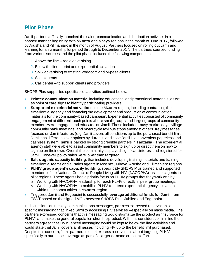### <span id="page-16-0"></span>**Pilot Phase**

Jamii partners officially launched the sales, communication and distribution activities in a phased manner beginning with Mwanza and Mbeya regions in the month of June 2017, followed by Arusha and Kilimanjaro in the month of August. Partners focused on rolling out Jamii and learning for a six month pilot period through to December 2017. The partners sourced funding from various sources and the pilot phase included the following components:

- 1. Above the line radio advertising
- 2. Below the line print and experiential activations
- 3. SMS advertising to existing Vodacom and M-pesa clients
- 4. Sales agents
- 5. Call center to support clients and providers

SHOPS Plus supported specific pilot activities outlined below:

- **Printed communication material** including educational and promotional materials, as well as point of care signs to identify participating providers.
- **Supported experiential activations** in the Mwanza region, including contracting the experiential agency and financing the development and production of communication materials for the community-based campaign. Experiential activities consisted of community engagement at different touch points where small groups and larger groups of community members were engaged and educated on Jamii. These included: busy market days, village community bank meetings, and motorcycle taxi bus stops amongst others. Key messages focused on Jamii features (e.g. Jamii covers all conditions up to the purchased benefit limit; Jamii has different cover options by duration and cost; Jamii is a convenient paperless and cashless system; Jamii is backed by strong credible partners in Tanzania). The experiential agency staff were able to assist community members to sign up or direct them on how to sign up on their own. Overall the community displayed significant interest and registered for Jamii. However policy sales were lower than targeted.
- **Sales agents capacity building**, that included developing training materials and training experiential teams and all sales agents in Mwanza, Mbeya, Arusha and Kilimanjaro regions.
- **PLHIV group agent's capacity building**, specifically SHOPS Plus trained and supported members of the National Council of People Living with HIV (NACOPHA) as sales agents in pilot regions. These agents had a priority focus on PLHIV groups that they work with by:
	- $\circ$  Working with NACOPHA leadership to reach PLHIV directly in peer group meetings.
	- o Working with NACOPHA to mobilize PLHIV to attend experiential agency activations within their communities in Mwanza region.
- Triggered Jamii and Edgepoint to successfully **leverage additional funds for Jamii** from FSDT based on the signed MOU between SHOPS Plus, Jubilee and Edgepoint.

In discussions on the key communications messages, partners expressed reservations on specific messaging that linked Jamii to accessing HIV services –especially on mass media. The partners expressed concerns that this messaging would stigmatize the product as 'insurance for PLHIV' and make the general population shun the product. With this consideration in mind the partners agreed that HIV nuanced messaging would be kept to below the line activities and would state that Jamii covers all illnesses including HIV up to the benefit limit purchased. Despite this concern, Jamii partners did not express reservations about targeting PLHIV specifically to purchase coverage as part of a larger demand creation effort.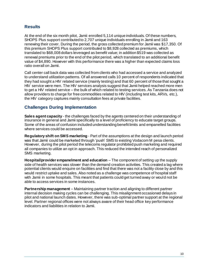#### **Results**

At the end of the six month pilot, Jamii enrolled 5,114 unique individuals. Of these numbers, SHOPS Plus support contributed to 2,707 unique individuals enrolling in Jamii and 163 renewing their cover. During the period, the gross collected premium for Jamii was \$17,350. Of this premium SHOPS Plus support contributed to \$8,928 collected as premiums, which translated to \$68,008 dollars leveraged as benefit value; in addition \$519 was collected as renewal premiums prior to the end of the pilot period, which translated to an additional benefit value of \$4,890. However with this performance there was a higher than expected claims loss ratio overall on Jamii.

Call center call back data was collected from clients who had accessed a service and analyzed to understand utilization patterns. Of all answered calls 10 percent of respondents indicated that they had sought a HIV related service (mainly testing) and that 60 percent of those that sought a HIV service were men. The HIV services analysis suggest that Jamii helped reached more men to get a HIV related service – the bulk of which related to testing services. As Tanzania does not allow providers to charge for free commodities related to HIV (including test kits, ARVs, etc.), the HIV category captures mainly consultation fees at private facilities.

#### **Challenges During Implementation**

**Sales agent capacity** - the challenges faced by the agents centered on their understanding of insurance in general and Jamii specifically to a level of proficiency to educate target groups. Some of the areas of confusion included understanding benefit limits and empanelled facilities where services could be accessed.

**Regulatory shift on SMS marketing** - Part of the assumptions at the design and launch period was that Jamii could be marketed through 'push' SMS to existing Vodacom M pesa clients. However, during the pilot period the telecoms regulator prohibited push marketing and required all companies to utilize an opt in approach. This reduced the intended reach of personalized SMS marketing.

**Hospital/provider empanelment and education** – The component of setting up the supply side of health services was slower than the demand creation activities. This created a lag where potential clients would enquire on facilities and find that there was not a facility close by and this would restrict uptake and sales. Also noted as a challenge was competence of hospital staff with Jamii in some hospitals. This meant that patients could get turned away or would not be able to access services in some instances.

<span id="page-17-0"></span>**Partnership management** – Maintaining partner traction and aligning to different partner internal decision making cycles can be challenging. This misalignment occasioned delays in pilot and national launch dates. However, there was sub-optimal partner support at the regional level. Partner regional offices were not always aware of their head office key performance indicators and liabilities in relation to Jamii.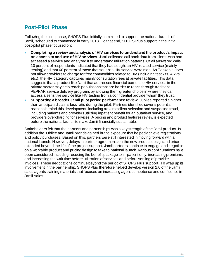### **Post-Pilot Phase**

Following the pilot phase, SHOPS Plus initially committed to support the national launch of Jamii, scheduled to commence in early 2018. To that end, SHOPS Plus support in the initial post-pilot phase focused on:

- **Completing a review and analysis of HIV services to understand the product's impact on access to and use of HIV services**. Jamii collected call back data from clients who had accessed a service and analyzed it to understand utilization patterns. Of all answered calls 10 percent of respondents indicated that they had sought an HIV-related service (mainly testing) and that 60 percent of those that sought a HIV service were men. As Tanzania does not allow providers to charge for free commodities related to HIV (including test kits, ARVs, etc.), the HIV category captures mainly consultation fees at private facilities. This data suggests that a product like Jamii that addresses financial barriers to HIV services in the private sector may help reach populations that are harder to reach through traditional PEPFAR service delivery programs by allowing them greater choice in where they can access a sensitive service like HIV testing from a confidential provider whom they trust.
- **Supporting a broader Jamii pilot period performance review**. Jubilee reported a higher than anticipated claims loss ratio during the pilot. Partners identified several potential reasons behind this development, including adverse client selection and suspected fraud, including patients and providers utilizing inpatient benefit for an outatient service, and providers overcharging for services. A pricing and product features review is expected before the national launch to make Jamii financially sustainable.

Stakeholders felt that the partners and partnerships was a key strength of the Jamii product. In addition the Jubilee and Jamii brands gained brand exposure that helped achieve registrations and policy purchases. Based on this, partners were still interested in moving forward with a national launch. However, delays in partner agreements on the new product design and price extended beyond the life of the project support. Jamii partners continue to engage and negotiate on a workable product and pricing design to take to national launch. Various configurations have been considered including reducing the benefit package to in-patient only, increasing premiums, and increasing the wait time before utilization of services and before settling of provider invoices. These negotiations continue beyond the period of SHOPS Plus support. To wrap up its involvement in the partnership, SHOPS Plus therefore helped develop version 2.0 of the Jamii sales agents training materials that focused on increasing agent competence and confidence in Jamii sales.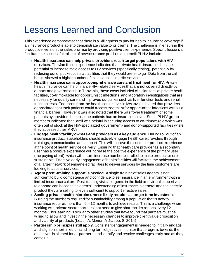## <span id="page-19-0"></span>Lessons Learned and Conclusion

This experience demonstrated that there is a willingness to pay for health insurance coverage if an insurance product is able to demonstrate value to its clients. The challenge is in ensuring the product delivers on the sales promise by providing positive client experience. Specific lessons to facilitate the successful roll out of new insurance products to benefit PLHIV include:

- **Health insurance can help private providers reach target populations with HIV services**. The Jamii pilot experience indicated that private health insurance has the potential to increase male access to HIV services (specifically testing), potentially by reducing out of pocket costs at facilities that they would prefer to go. Data from the call backs showed a higher number of males accessing HIV services
- **Health insurance can support comprehensive care and treatment for HIV**. Private health insurance can help finance HIV-related services that are not covered directly by donors and governments. In Tanzania, these costs included clinician fees at private health facilities, co-trimoxazole for opportunistic infections, and laboratory investigations that are necessary for quality care and improved outcomes such as liver function tests and renal function tests. Feedback from the health center level in Mwanza indicated that providers appreciated that their patients could access treatment for opportunistic infections without a financial barrier. However it was also noted that there was "over treatment" of some patients by providers because the patients had an insurance cover. Some PLHIV group members indicated that Jamii was helpful in securing access to co-trimoxazole which was often out of stock at the HIV-specialized government- and donor-supported facilities where they accessed their ARVs.
- **Engage health facility owners and providers as a key audience**. During roll out of an insurance product, stakeholders should actively engage health care providers through trainings, communication and support. This will improve the customer product experience at the point of health service delivery. Ensuring that health care provider as a secondary user has a positive experience will increase the positive experience of the primary user (the paying client), which will in turn increase numbers enrolled to make products more sustainable. Effective early engagement of health facilities will facilitate the achievement of a larger network of empaneled facilities to deliver services by the time customers are looking to access services.
- **Agent post -training support is needed**. A single training of sales agents is not sufficient to build competence and confidence to sell insurance in an environment with a limited insurance culture. Post-training visits to agents in the field and virtual support via telephone can boost sales agents' understanding of insurance in general and the specific product they are selling to levels sufficient to support effective sales.
- **Scaling private health microinsurance likely requires a longer term investment**. Building the numbers required for sustainability among a population that is new to insurance requires more than  $6 - 12$  months to achieve results. This is a challenge when working with private sector partners that need to give shareholder reports every 12 months. This learning is similar to other studies that have found that partners must be willing to allow and invest in the necessary changes to improve client value proposition and viability of products (Leach,A; Menon,A ;Naube, S, 2014)
- **Partnership principles still apply**. Consistent engagement is needed to initially engage and align on short, medium and long term objectives; monitor that progress towards the objectives is aligned for all partners; and identify and resolve challenges early and as they come up.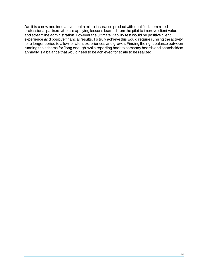Jamii is a new and innovative health micro insurance product with qualified, committed professional partners who are applying lessons learned from the pilot to improve client value and streamline administration. However the ultimate viability test would be positive client experience *and* positive financial results. To truly achieve this would require running the activity for a longer period to allow for client experiences and growth. Finding the right balance between running the scheme for 'long enough' while reporting back to company boards and shareholders annually is a balance that would need to be achieved for scale to be realized.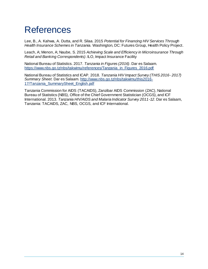## <span id="page-21-0"></span>References

Lee, B., A. Kahwa, A. Dutta, and R. Silaa. 2015 *Potential for Financing HIV Services Through Health Insurance Schemes in Tanzania.* Washington, DC: Futures Group, Health Policy Project.

Leach, A; Menon, A; Naube, S. 2015 *Achieving Scale and Efficiency in Microinsurance Through Retail and Banking Correspondents)*. ILO, Impact Insurance Facility

National Bureau of Statistics. 2017. *Tanzania in Figures (2016)*. Dar es Salaam. [https://www.nbs.go.tz/nbs/takwimu/references/Tanzania\\_in\\_Figures\\_2016.pdf](https://www.nbs.go.tz/nbs/takwimu/references/Tanzania_in_Figures_2016.pdf)

National Bureau of Statistics and ICAP. 2018. *Tanzania HIV Impact Survey (THIS 2016- 2017) Summary Sheet.* Dar es Salaam. [http://www.nbs.go.tz/nbs/takwimu/this2016-](http://www.nbs.go.tz/nbs/takwimu/this2016-17/Tanzania_SummarySheet_English.pdf) 17/Tanzania SummarySheet English.pdf

Tanzania Commission for AIDS (TACAIDS), Zanzibar AIDS Commission (ZAC), National Bureau of Statistics (NBS), Office of the Chief Government Statistician (OCGS), and ICF International. 2013. *Tanzania HIV/AIDS and Malaria Indicator Survey 2011-12*. Dar es Salaam, Tanzania: TACAIDS, ZAC, NBS, OCGS, and ICF International.